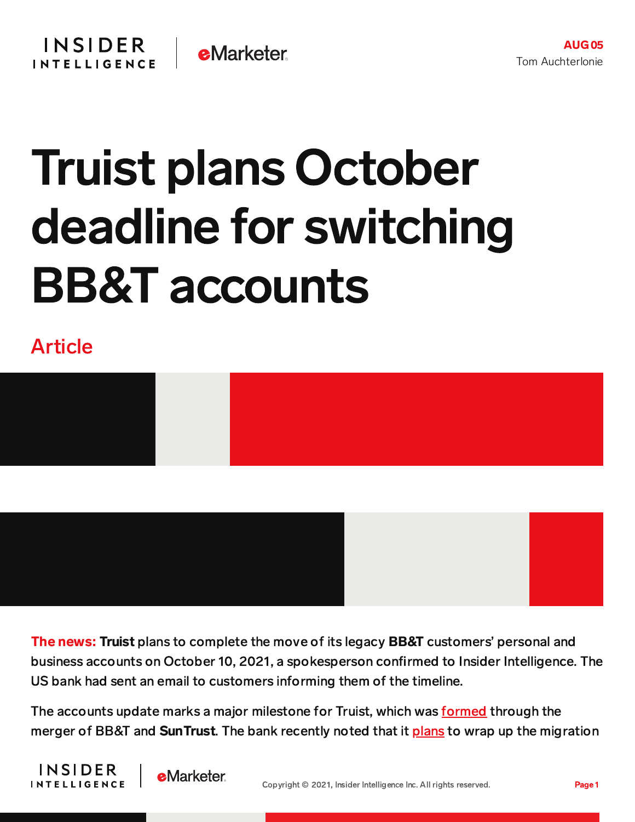## Truist plans October deadline for switching BB&T accounts

## Article





The news: Truist plans to complete the move of its legacy BB&T customers' personal and business accounts on October 10, 2021, a spokesperson confirmed to Insider Intelligence. The US bank had sent an email to customers informing them of the timeline.

The accounts update marks a major milestone for Truist, which was [formed](https://www.truist.com/who-we-are/about-truist) through the merger of BB&T and **SunTrust**. The bank recently noted that it [plans](https://content-na2.emarketer.com/truist-begins-phased-rollout-unified-digital-platform-customers) to wrap up the migration



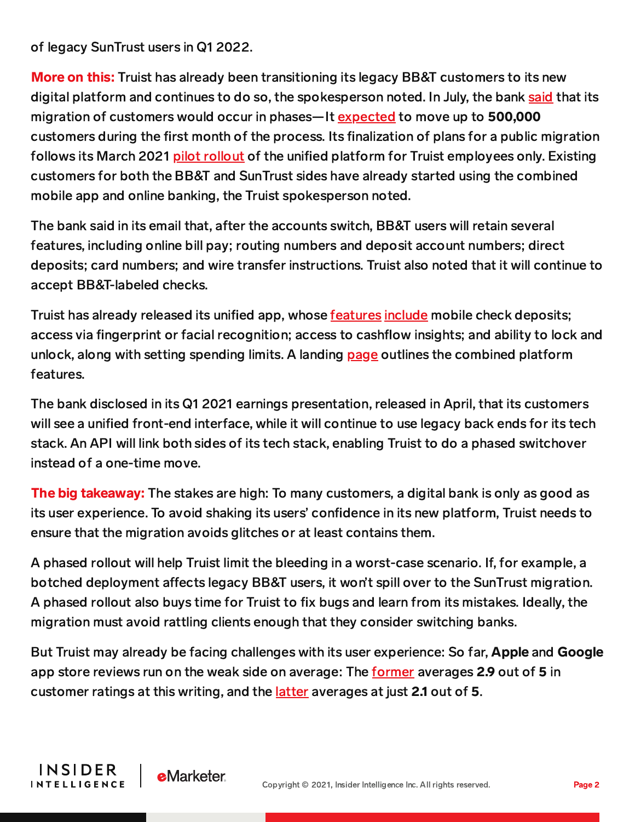of legacy SunTrust users in Q1 2022.

**INSIDER** 

**INTELLIGENCE** 

**e**Marketer

**More on this:** Truist has already been transitioning its legacy BB&T customers to its new digital platform and continues to do so, the spokesperson noted. In July, the bank [said](https://content-na2.emarketer.com/truist-begins-phased-rollout-unified-digital-platform-customers) that its migration of customers would occur in phases—It [expected](https://www.fool.com/earnings/call-transcripts/2021/07/15/truist-financial-corp-tfc-q2-2021-earnings-call-tr/) to move up to 500,000 customers during the first month of the process. Its finalization of plans for a public migration follows its March 2021 pilot [rollout](https://content-na2.emarketer.com/truist-launched-pilot-of-its-final-digital-platform-q1) of the unified platform for Truist employees only. Existing customers for both the BB&T and SunTrust sides have already started using the combined mobile app and online banking, the Truist spokesperson noted.

The bank said in its email that, after the accounts switch, BB&T users will retain several features, including online bill pay; routing numbers and deposit account numbers; direct deposits; card numbers; and wire transfer instructions. Truist also noted that it will continue to accept BB&T-labeled checks.

Truist has already released its unified app, whose [features](https://apps.apple.com/us/app/truist-mobile/id1555389200) [include](https://play.google.com/store/apps/details?id=com.truist.mobile&hl=en_US&gl=US) mobile check deposits; access via fingerprint or facial recognition; access to cashflow insights; and ability to lock and unlock, along with setting spending limits. A landing [page](https://www.truist.com/banking-with-us/digital-banking/upgrade) outlines the combined platform features.

The bank disclosed in its Q1 2021 earnings presentation, released in April, that its customers will see a unified front-end interface, while it will continue to use legacy back ends for its tech stack. An API will link both sides of its tech stack, enabling Truist to do a phased switchover instead of a one-time move.

The big takeaway: The stakes are high: To many customers, a digital bank is only as good as its user experience. To avoid shaking its users' confidence in its new platform, Truist needs to ensure that the migration avoids glitches or at least contains them.

A phased rollout will help Truist limit the bleeding in a worst-case scenario. If, for example, a botched deployment affects legacy BB&T users, it won't spill over to the SunTrust migration. A phased rollout also buys time for Truist to fix bugs and learn from its mistakes. Ideally, the migration must avoid rattling clients enough that they consider switching banks.

But Truist may already be facing challenges with its user experience: So far, Apple and Google app store reviews run on the weak side on average: The [former](https://apps.apple.com/us/app/truist-mobile/id1555389200) averages 2.9 out of 5 in customer ratings at this writing, and the *[latter](https://play.google.com/store/apps/details?id=com.truist.mobile&hl=en_US&gl=US)* averages at just 2.1 out of 5.